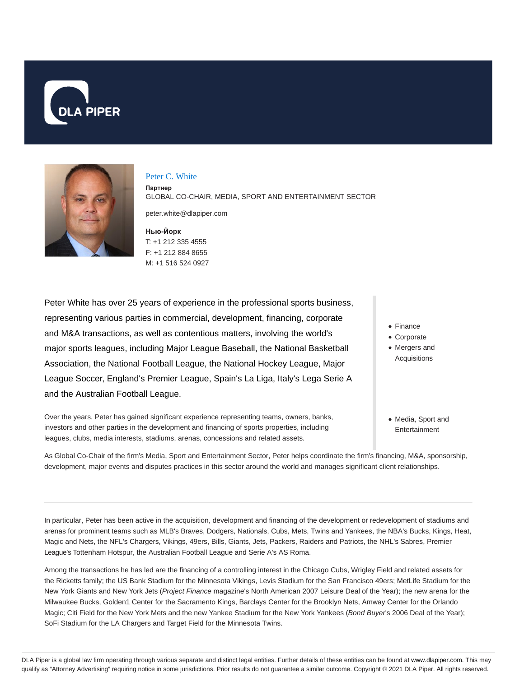



#### Peter C. White

**Партнер** GLOBAL CO-CHAIR, MEDIA, SPORT AND ENTERTAINMENT SECTOR

peter.white@dlapiper.com

## **Нью-Йорк** T: +1 212 335 4555 F: +1 212 884 8655 M: +1 516 524 0927

Peter White has over 25 years of experience in the professional sports business, representing various parties in commercial, development, financing, corporate and M&A transactions, as well as contentious matters, involving the world's major sports leagues, including Major League Baseball, the National Basketball Association, the National Football League, the National Hockey League, Major League Soccer, England's Premier League, Spain's La Liga, Italy's Lega Serie A and the Australian Football League.

Over the years, Peter has gained significant experience representing teams, owners, banks, investors and other parties in the development and financing of sports properties, including leagues, clubs, media interests, stadiums, arenas, concessions and related assets.

- Finance Corporate
- Mergers and
- Acquisitions
- Media, Sport and Entertainment

As Global Co-Chair of the firm's Media, Sport and Entertainment Sector, Peter helps coordinate the firm's financing, M&A, sponsorship, development, major events and disputes practices in this sector around the world and manages significant client relationships.

In particular, Peter has been active in the acquisition, development and financing of the development or redevelopment of stadiums and arenas for prominent teams such as MLB's Braves, Dodgers, Nationals, Cubs, Mets, Twins and Yankees, the NBA's Bucks, Kings, Heat, Magic and Nets, the NFL's Chargers, Vikings, 49ers, Bills, Giants, Jets, Packers, Raiders and Patriots, the NHL's Sabres, Premier League's Tottenham Hotspur, the Australian Football League and Serie A's AS Roma.

Among the transactions he has led are the financing of a controlling interest in the Chicago Cubs, Wrigley Field and related assets for the Ricketts family; the US Bank Stadium for the Minnesota Vikings, Levis Stadium for the San Francisco 49ers; MetLife Stadium for the New York Giants and New York Jets (Project Finance magazine's North American 2007 Leisure Deal of the Year); the new arena for the Milwaukee Bucks, Golden1 Center for the Sacramento Kings, Barclays Center for the Brooklyn Nets, Amway Center for the Orlando Magic; Citi Field for the New York Mets and the new Yankee Stadium for the New York Yankees (Bond Buyer's 2006 Deal of the Year); SoFi Stadium for the LA Chargers and Target Field for the Minnesota Twins.

DLA Piper is a global law firm operating through various separate and distinct legal entities. Further details of these entities can be found at www.dlapiper.com. This may qualify as "Attorney Advertising" requiring notice in some jurisdictions. Prior results do not guarantee a similar outcome. Copyright © 2021 DLA Piper. All rights reserved.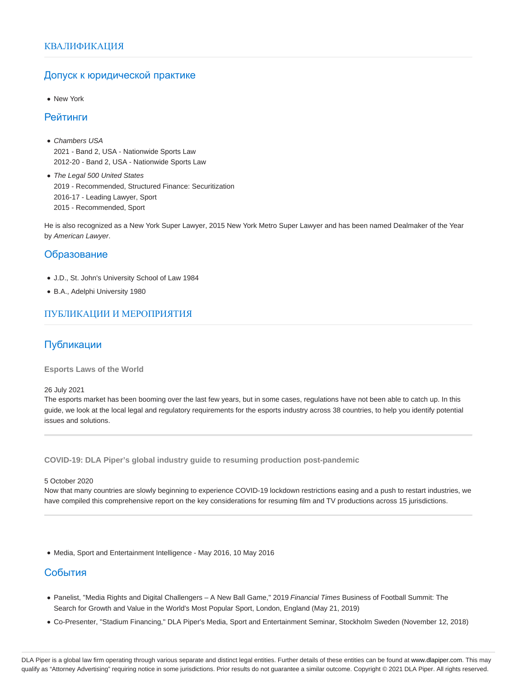## Допуск к юридической практике

New York

#### Рейтинги

- Chambers USA 2021 - Band 2, USA - Nationwide Sports Law 2012-20 - Band 2, USA - Nationwide Sports Law
- The Legal 500 United States 2019 - Recommended, Structured Finance: Securitization 2016-17 - Leading Lawyer, Sport 2015 - Recommended, Sport

He is also recognized as a New York Super Lawyer, 2015 New York Metro Super Lawyer and has been named Dealmaker of the Year by American Lawyer.

### Образование

- J.D., St. John's University School of Law 1984
- B.A., Adelphi University 1980

# ПУБЛИКАЦИИ И МЕРОПРИЯТИЯ

# Публикации

**Esports Laws of the World**

26 July 2021

The esports market has been booming over the last few years, but in some cases, regulations have not been able to catch up. In this guide, we look at the local legal and regulatory requirements for the esports industry across 38 countries, to help you identify potential issues and solutions.

**COVID-19: DLA Piper's global industry guide to resuming production post-pandemic**

#### 5 October 2020

Now that many countries are slowly beginning to experience COVID-19 lockdown restrictions easing and a push to restart industries, we have compiled this comprehensive report on the key considerations for resuming film and TV productions across 15 jurisdictions.

Media, Sport and Entertainment Intelligence - May 2016, 10 May 2016

# События

- Panelist, "Media Rights and Digital Challengers A New Ball Game," 2019 Financial Times Business of Football Summit: The Search for Growth and Value in the World's Most Popular Sport, London, England (May 21, 2019)
- Co-Presenter, "Stadium Financing," DLA Piper's Media, Sport and Entertainment Seminar, Stockholm Sweden (November 12, 2018)

DLA Piper is a global law firm operating through various separate and distinct legal entities. Further details of these entities can be found at www.dlapiper.com. This may qualify as "Attorney Advertising" requiring notice in some jurisdictions. Prior results do not guarantee a similar outcome. Copyright © 2021 DLA Piper. All rights reserved.